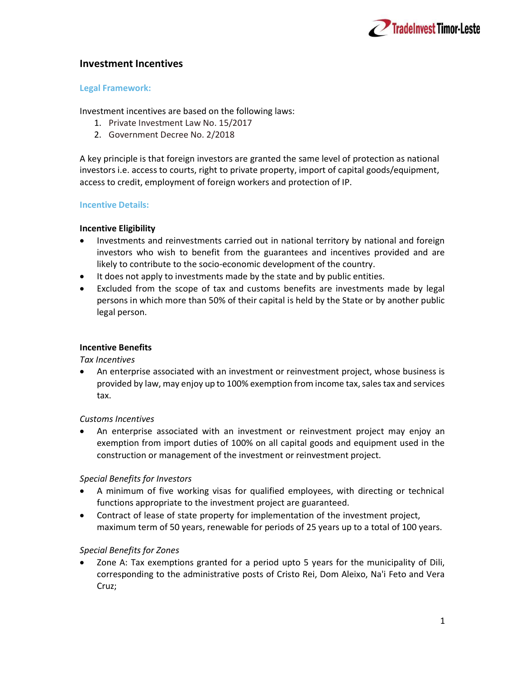

## Investment Incentives

#### Legal Framework:

Investment incentives are based on the following laws:

- 1. Private Investment Law No. 15/2017
- 2. Government Decree No. 2/2018

A key principle is that foreign investors are granted the same level of protection as national investors i.e. access to courts, right to private property, import of capital goods/equipment, access to credit, employment of foreign workers and protection of IP.

## Incentive Details:

### Incentive Eligibility

- Investments and reinvestments carried out in national territory by national and foreign investors who wish to benefit from the guarantees and incentives provided and are likely to contribute to the socio-economic development of the country.
- It does not apply to investments made by the state and by public entities.
- Excluded from the scope of tax and customs benefits are investments made by legal persons in which more than 50% of their capital is held by the State or by another public legal person.

### Incentive Benefits

Tax Incentives

 An enterprise associated with an investment or reinvestment project, whose business is provided by law, may enjoy up to 100% exemption from income tax, sales tax and services tax.

### Customs Incentives

 An enterprise associated with an investment or reinvestment project may enjoy an exemption from import duties of 100% on all capital goods and equipment used in the construction or management of the investment or reinvestment project.

# Special Benefits for Investors

- A minimum of five working visas for qualified employees, with directing or technical functions appropriate to the investment project are guaranteed.
- Contract of lease of state property for implementation of the investment project, maximum term of 50 years, renewable for periods of 25 years up to a total of 100 years.

# Special Benefits for Zones

 Zone A: Tax exemptions granted for a period upto 5 years for the municipality of Dili, corresponding to the administrative posts of Cristo Rei, Dom Aleixo, Na'i Feto and Vera Cruz;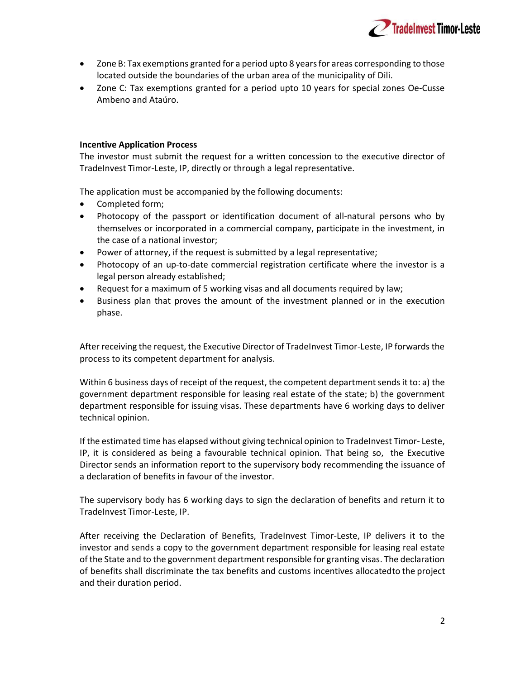

- Zone B: Tax exemptions granted for a period upto 8 years for areas corresponding to those located outside the boundaries of the urban area of the municipality of Dili.
- Zone C: Tax exemptions granted for a period upto 10 years for special zones Oe-Cusse Ambeno and Ataúro.

#### Incentive Application Process

The investor must submit the request for a written concession to the executive director of TradeInvest Timor-Leste, IP, directly or through a legal representative.

The application must be accompanied by the following documents:

- Completed form;
- Photocopy of the passport or identification document of all-natural persons who by themselves or incorporated in a commercial company, participate in the investment, in the case of a national investor;
- Power of attorney, if the request is submitted by a legal representative;
- Photocopy of an up-to-date commercial registration certificate where the investor is a legal person already established;
- Request for a maximum of 5 working visas and all documents required by law;
- Business plan that proves the amount of the investment planned or in the execution phase.

After receiving the request, the Executive Director of TradeInvest Timor-Leste, IP forwards the process to its competent department for analysis.

Within 6 business days of receipt of the request, the competent department sends it to: a) the government department responsible for leasing real estate of the state; b) the government department responsible for issuing visas. These departments have 6 working days to deliver technical opinion.

If the estimated time has elapsed without giving technical opinion to TradeInvest Timor- Leste, IP, it is considered as being a favourable technical opinion. That being so, the Executive Director sends an information report to the supervisory body recommending the issuance of a declaration of benefits in favour of the investor.

The supervisory body has 6 working days to sign the declaration of benefits and return it to TradeInvest Timor-Leste, IP.

After receiving the Declaration of Benefits, TradeInvest Timor-Leste, IP delivers it to the investor and sends a copy to the government department responsible for leasing real estate of the State and to the government department responsible for granting visas. The declaration of benefits shall discriminate the tax benefits and customs incentives allocated to the project and their duration period.